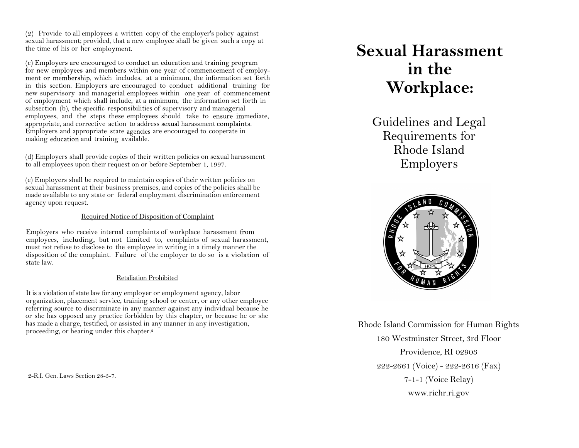$(2)$  Provide to all employees a written copy of the employer's policy against sexual harassment; provided, that a new employee shall be given such a copy at the time of his or her

(c) Employers are encouraged to conduct an education and training program for new employees and members within one year of commencement of employment or membership, which includes, at a minimum, the information set forth in this section. Employers are encouraged to conduct additional training for new supervisory and managerial employees within one year of commencement of employment which shall include, at a minimum, the information set forth in subsection (b), the specific responsibilities of supervisory and managerial employees, and the steps these employees should take to ensure immediate, appropriate, and corrective action to address sexual harassment complaints. Employers and appropriate state agencies are encouraged to cooperate in making education and training available.

(d) Employers shall provide copies of their written policies on sexual harassment to all employees upon their request on or before September 1, 1997.

(e) Employers shall be required to maintain copies of their written policies on sexual harassment at their business premises, and copies of the policies shall be made available to any state or federal employment discrimination enforcement agency upon request.

# Required Notice of Disposition of Complaint

Employers who receive internal complaints of workplace harassment employees, including, but not limited to, complaints of sexual harassment, must not refuse to disclose to the employee in writing in a timely manner the disposition of the complaint. Failure of the employer to do so is a violation of state law.

# Retaliation Prohibited

It is a violation of state law for any employer or employment agency, labor organization, placement service, training school or center, or any other employee referring source to discriminate in any manner against any individual because he or she has opposed any practice forbidden by this chapter, or because he or she has made a charge, testified, or assisted in any manner in any investigation, proceeding, or hearing under this chapter.<sup>2</sup>

2-R.I. Gen. Laws Section 28-5-7.

# **Sexual Harassment in the Workplace:**

Guidelines and Legal Requirements for Rhode Island Employers



Rhode Island Commission for Human Rights 180 Westminster Street, 3rd Floor Providence, RI 02903 222-2661 (Voice) - 222-2616 (Fax) 7-1-1 (Voice Relay) www.richr.ri.gov